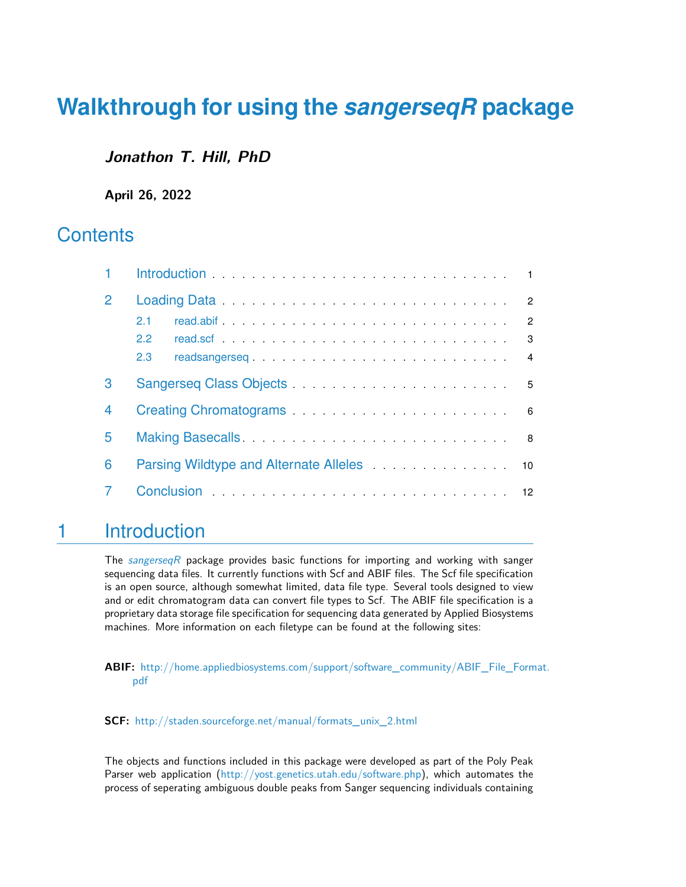# **Walkthrough for using the** *[sangerseqR](http://bioconductor.org/packages/sangerseqR)* **package**

### **Jonathon T. Hill, PhD**

**April 26, 2022**

### **Contents**

| 1 | Introduction expectation and the contract of the contract of the contract of the contract of the contract of the contract of the contract of the contract of the contract of the contract of the contract of the contract of t |                |
|---|--------------------------------------------------------------------------------------------------------------------------------------------------------------------------------------------------------------------------------|----------------|
| 2 |                                                                                                                                                                                                                                |                |
|   | 2.1                                                                                                                                                                                                                            |                |
|   | $\overline{\mathbf{3}}$<br>$2.2^{\circ}$                                                                                                                                                                                       |                |
|   | readsangerseq<br>2.3                                                                                                                                                                                                           | $\overline{4}$ |
| 3 |                                                                                                                                                                                                                                |                |
| 4 |                                                                                                                                                                                                                                |                |
| 5 |                                                                                                                                                                                                                                |                |
| 6 | Parsing Wildtype and Alternate Alleles 10                                                                                                                                                                                      |                |
|   |                                                                                                                                                                                                                                |                |

### <span id="page-0-0"></span>1 Introduction

The [sangerseqR](http://bioconductor.org/packages/sangerseqR) package provides basic functions for importing and working with sanger sequencing data files. It currently functions with Scf and ABIF files. The Scf file specification is an open source, although somewhat limited, data file type. Several tools designed to view and or edit chromatogram data can convert file types to Scf. The ABIF file specification is a proprietary data storage file specification for sequencing data generated by Applied Biosystems machines. More information on each filetype can be found at the following sites:

**ABIF:** [http://home.appliedbiosystems.com/support/software\\_community/ABIF\\_File\\_Form](http://home.appliedbiosystems.com/support/software_community/ ABIF_File_Format.pdf)at. [pdf](http://home.appliedbiosystems.com/support/software_community/ ABIF_File_Format.pdf)

**SCF:** [http://staden.sourceforge.net/manual/formats\\_unix\\_2.html](http://staden.sourceforge.net/manual/formats_unix_2.html)

The objects and functions included in this package were developed as part of the Poly Peak Parser web application [\(http://yost.genetics.utah.edu/software.php\)](http://yost.genetics.utah.edu/software.php), which automates the process of seperating ambiguous double peaks from Sanger sequencing individuals containing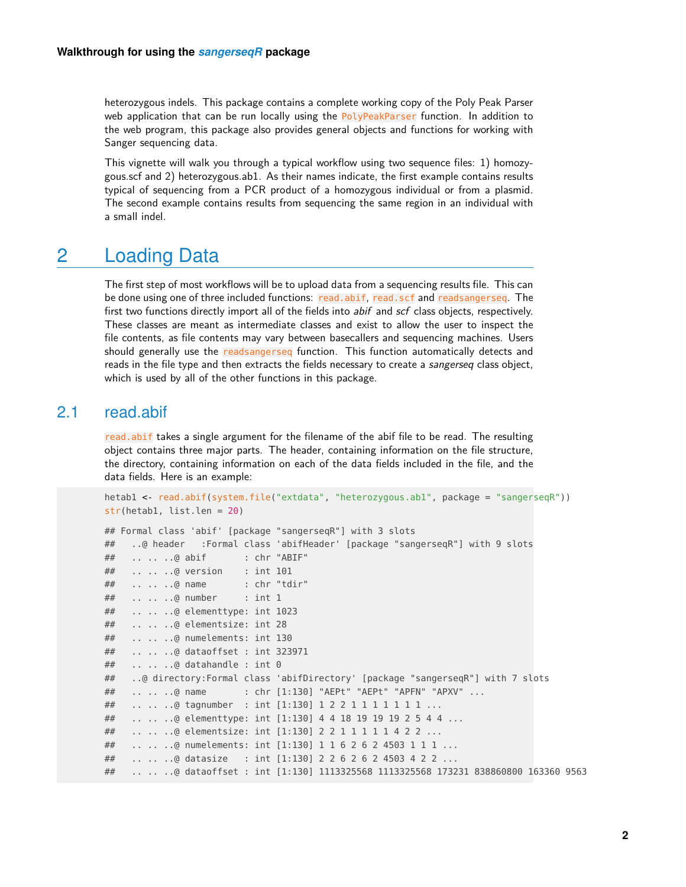heterozygous indels. This package contains a complete working copy of the Poly Peak Parser web application that can be run locally using the PolyPeakParser function. In addition to the web program, this package also provides general objects and functions for working with Sanger sequencing data.

This vignette will walk you through a typical workflow using two sequence files: 1) homozygous.scf and 2) heterozygous.ab1. As their names indicate, the first example contains results typical of sequencing from a PCR product of a homozygous individual or from a plasmid. The second example contains results from sequencing the same region in an individual with a small indel.

### <span id="page-1-0"></span>2 Loading Data

The first step of most workflows will be to upload data from a sequencing results file. This can be done using one of three included functions: read.abif, read.scf and readsangerseq. The first two functions directly import all of the fields into abif and scf class objects, respectively. These classes are meant as intermediate classes and exist to allow the user to inspect the file contents, as file contents may vary between basecallers and sequencing machines. Users should generally use the readsangerseq function. This function automatically detects and reads in the file type and then extracts the fields necessary to create a sangerseq class object, which is used by all of the other functions in this package.

#### 2.1 read.abif

<span id="page-1-1"></span>read.abif takes a single argument for the filename of the abif file to be read. The resulting object contains three major parts. The header, containing information on the file structure, the directory, containing information on each of the data fields included in the file, and the data fields. Here is an example:

```
hetab1 <- read.abif(system.file("extdata", "heterozygous.ab1", package = "sangerseqR"))
str(hetab1, list.len = 20)
## Formal class 'abif' [package "sangerseqR"] with 3 slots
## ..@ header :Formal class 'abifHeader' [package "sangerseqR"] with 9 slots
## .. .. ..@ abif : chr "ABIF"
## .. .. ..@ version : int 101
## .. .. ..@ name : chr "tdir"
## .. .. ..@ number : int 1
## .. .. ..@ elementtype: int 1023
## .. .. ..@ elementsize: int 28
## .. .. ..@ numelements: int 130
## .. .. ..@ dataoffset : int 323971
## .. .. ..@ datahandle : int 0
## ..@ directory:Formal class 'abifDirectory' [package "sangerseqR"] with 7 slots
## .. .. ..@ name : chr [1:130] "AEPt" "AEPt" "APFN" "APXV" ...
## .. .. ..@ tagnumber : int [1:130] 1 2 2 1 1 1 1 1 1 1 ...
## .. .. ..@ elementtype: int [1:130] 4 4 18 19 19 19 2 5 4 4 ...
## .. .. ..@ elementsize: int [1:130] 2 2 1 1 1 1 1 4 2 2 ...
## .. .. ..@ numelements: int [1:130] 1 1 6 2 6 2 4503 1 1 1 ...
## .. .. ..@ datasize : int [1:130] 2 2 6 2 6 2 4503 4 2 2 ...
## .. .. ..@ dataoffset : int [1:130] 1113325568 1113325568 173231 838860800 163360 9563
```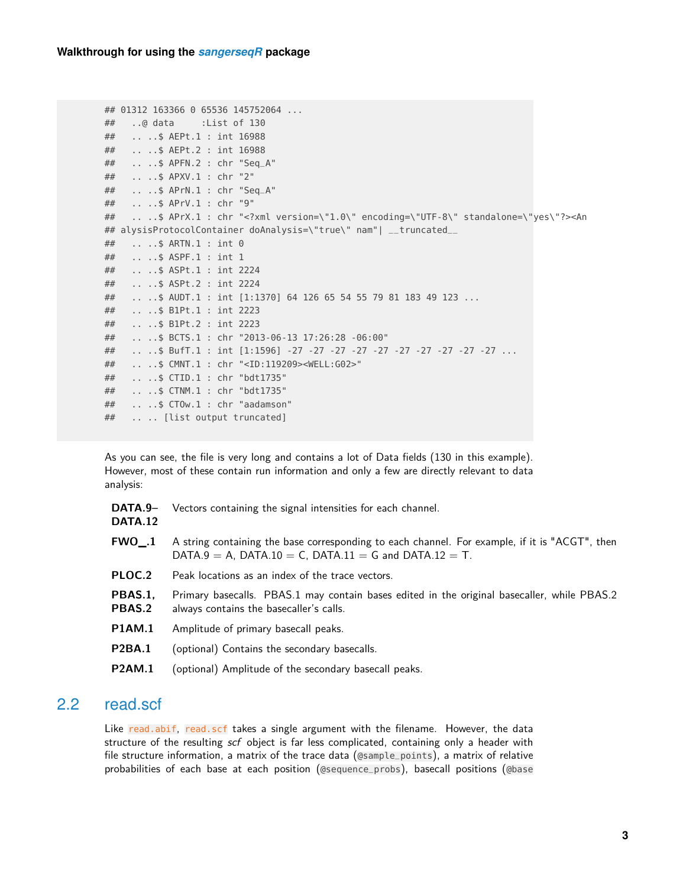```
## 01312 163366 0 65536 145752064 ...
## ..@ data :List of 130
## .. ..$ AEPt.1 : int 16988
## .. ..$ AEPt.2 : int 16988
## .. ..$ APFN.2 : chr "Seq_A"
## .. ..$ APXV.1 : chr "2"
## .. ..$ APrN.1 : chr "Seq_A"
## .. ..$ APrV.1 : chr "9"
## .. ..$ APrX.1 : chr "<?xml version=\"1.0\" encoding=\"UTF-8\" standalone=\"yes\"?><An
## alysisProtocolContainer doAnalysis=\"true\" nam"| __truncated__
## .. ..$ ARTN.1 : int 0
## .. ..$ ASPF.1 : int 1
## .. ..$ ASPt.1 : int 2224
## .. ..$ ASPt.2 : int 2224
## .. ..$ AUDT.1 : int [1:1370] 64 126 65 54 55 79 81 183 49 123 ...
## .. ..$ B1Pt.1 : int 2223
## .. ..$ B1Pt.2 : int 2223
## .. ..$ BCTS.1 : chr "2013-06-13 17:26:28 -06:00"
## .. ..$ BufT.1 : int [1:1596] -27 -27 -27 -27 -27 -27 -27 -27 -27 -27 ...
## .. ..$ CMNT.1 : chr "<ID:119209><WELL:G02>"
## .. ..$ CTID.1 : chr "bdt1735"
## .. ..$ CTNM.1 : chr "bdt1735"
## .. ..$ CTOw.1 : chr "aadamson"
## .. .. [list output truncated]
```
As you can see, the file is very long and contains a lot of Data fields (130 in this example). However, most of these contain run information and only a few are directly relevant to data analysis:

| DATA.9-<br><b>DATA.12</b> | Vectors containing the signal intensities for each channel.                                                                                             |
|---------------------------|---------------------------------------------------------------------------------------------------------------------------------------------------------|
| FWO .1                    | A string containing the base corresponding to each channel. For example, if it is "ACGT", then<br>DATA.9 = A, DATA.10 = C, DATA.11 = G and DATA.12 = T. |
| PLOC.2                    | Peak locations as an index of the trace vectors.                                                                                                        |
| PBAS.1.<br>PBAS.2         | Primary basecalls. PBAS.1 may contain bases edited in the original basecaller, while PBAS.2<br>always contains the basecaller's calls.                  |
| <b>P1AM.1</b>             | Amplitude of primary basecall peaks.                                                                                                                    |
| <b>P2BA.1</b>             | (optional) Contains the secondary basecalls.                                                                                                            |
| <b>P2AM.1</b>             | (optional) Amplitude of the secondary basecall peaks.                                                                                                   |
|                           |                                                                                                                                                         |

### 2.2 read.scf

<span id="page-2-0"></span>Like read.abif, read.scf takes a single argument with the filename. However, the data structure of the resulting scf object is far less complicated, containing only a header with file structure information, a matrix of the trace data (@sample\_points), a matrix of relative probabilities of each base at each position (@sequence\_probs), basecall positions (@base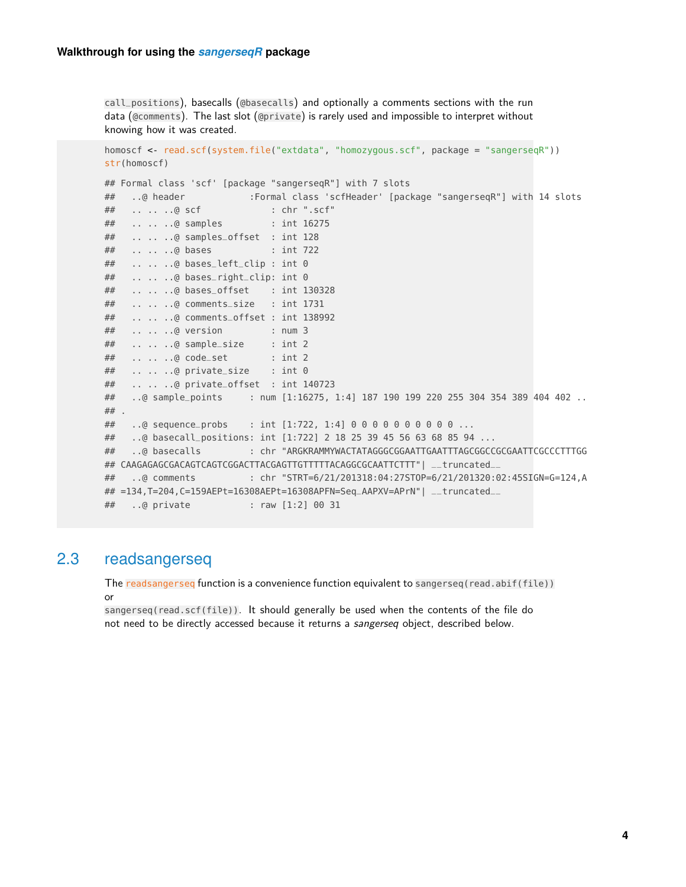```
call_positions), basecalls (@basecalls) and optionally a comments sections with the run
data (@comments). The last slot (@private) is rarely used and impossible to interpret without
knowing how it was created.
homoscf <- read.scf(system.file("extdata", "homozygous.scf", package = "sangerseqR"))
str(homoscf)
## Formal class 'scf' [package "sangerseqR"] with 7 slots
## ..@ header :Formal class 'scfHeader' [package "sangerseqR"] with 14 slots
## .. .. ..@ scf : chr ".scf"
## .. .. ..@ samples : int 16275
## .. .. ..@ samples_offset : int 128
## .. .. ..@ bases : int 722
## .. .. ..@ bases_left_clip : int 0
## .. .. ..@ bases_right_clip: int 0
## .. .. ..@ bases_offset : int 130328
## .. .. ..@ comments_size : int 1731
## .. .. ..@ comments_offset : int 138992
## .. .. ..@ version : num 3
## .. .. ..@ sample_size : int 2
## .. .. ..@ code_set : int 2
## .. .. ..@ private_size : int 0
## .. .. ..@ private_offset : int 140723
## ..@ sample_points : num [1:16275, 1:4] 187 190 199 220 255 304 354 389 404 402 ..
##.
## ..@ sequence_probs : int [1:722, 1:4] 0 0 0 0 0 0 0 0 0 0 ...
## ..@ basecall_positions: int [1:722] 2 18 25 39 45 56 63 68 85 94 ...
## ..@ basecalls : chr "ARGKRAMMYWACTATAGGGCGGAATTGAATTTAGCGGCCGCGAATTCGCCCTTTGG
## CAAGAGAGCGACAGTCAGTCGGACTTACGAGTTGTTTTTACAGGCGCAATTCTTT"| __truncated__
## ..@ comments : chr "STRT=6/21/201318:04:27STOP=6/21/201320:02:45SIGN=G=124,A
## =134,T=204,C=159AEPt=16308AEPt=16308APFN=Seq_AAPXV=APrN"| __truncated__
## ..@ private : raw [1:2] 00 31
```
#### 2.3 readsangerseq

<span id="page-3-0"></span>The readsangerseq function is a convenience function equivalent to sangerseq(read.abif(file)) or

sangerseq(read.scf(file)). It should generally be used when the contents of the file do not need to be directly accessed because it returns a sangerseq object, described below.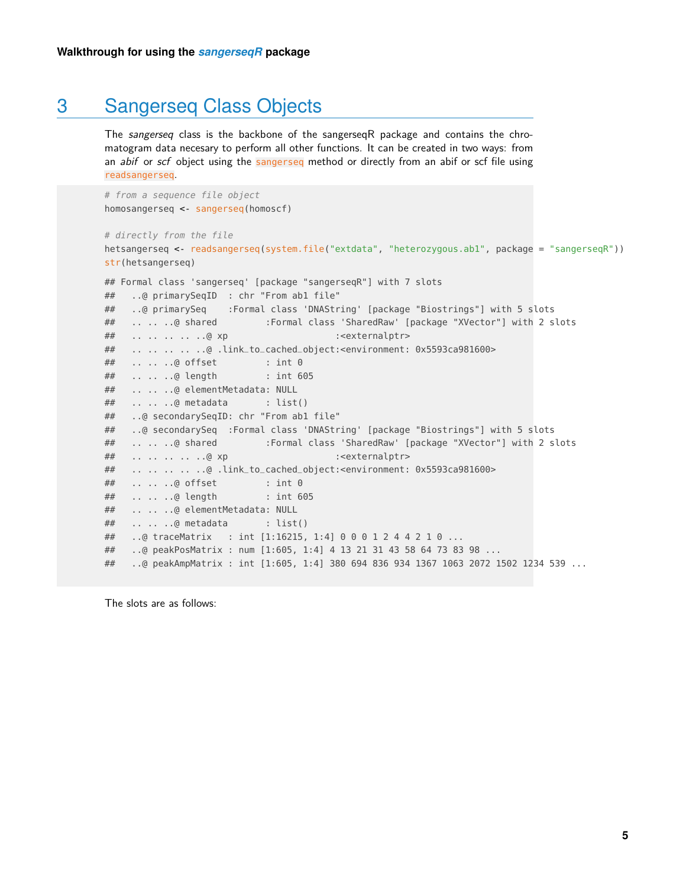### 3 Sangerseq Class Objects

<span id="page-4-0"></span>The sangerseq class is the backbone of the sangerseqR package and contains the chromatogram data necesary to perform all other functions. It can be created in two ways: from an *abif* or scf object using the sangerseq method or directly from an abif or scf file using readsangerseq.

```
# from a sequence file object
homosangerseq <- sangerseq(homoscf)
```

```
# directly from the file
hetsangerseq <- readsangerseq(system.file("extdata", "heterozygous.ab1", package = "sangerseqR"))
str(hetsangerseq)
```

```
## Formal class 'sangerseq' [package "sangerseqR"] with 7 slots
## ..@ primarySeqID : chr "From ab1 file"
## ..@ primarySeq :Formal class 'DNAString' [package "Biostrings"] with 5 slots
## .. .. ..@ shared :Formal class 'SharedRaw' [package "XVector"] with 2 slots
## .. .. .. .. ..@ xp :<externalptr>
## .. .. .. .. ..@ .link_to_cached_object:<environment: 0x5593ca981600>
## .. .. ..@ offset : int 0
## .. .. ..@ length : int 605
## .. .. ..@ elementMetadata: NULL
## .. .. ..@ metadata : list()
## ..@ secondarySeqID: chr "From ab1 file"
## ..@ secondarySeq :Formal class 'DNAString' [package "Biostrings"] with 5 slots
## .. .. ..@ shared :Formal class 'SharedRaw' [package "XVector"] with 2 slots
## .. .. .. .. ..@ xp :<externalptr>
## .. .. .. .. ..@ .link_to_cached_object:<environment: 0x5593ca981600>
## .. .. ..@ offset : int 0
## .. .. ..@ length : int 605
## .. .. ..@ elementMetadata: NULL
## .. .. ..@ metadata : list()
## ..@ traceMatrix : int [1:16215, 1:4] 0 0 0 1 2 4 4 2 1 0 ...
## ..@ peakPosMatrix : num [1:605, 1:4] 4 13 21 31 43 58 64 73 83 98 ...
## ..@ peakAmpMatrix : int [1:605, 1:4] 380 694 836 934 1367 1063 2072 1502 1234 539 ...
```
The slots are as follows: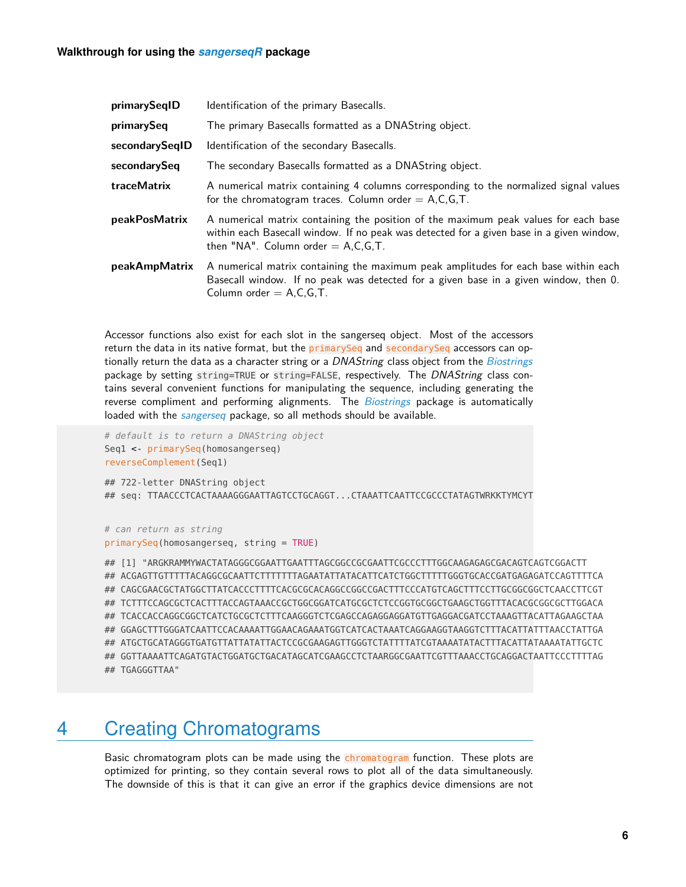| primarySeqID       | Identification of the primary Basecalls.                                                                                                                                                                                |
|--------------------|-------------------------------------------------------------------------------------------------------------------------------------------------------------------------------------------------------------------------|
| primarySeq         | The primary Basecalls formatted as a DNAString object.                                                                                                                                                                  |
| secondarySeqID     | Identification of the secondary Basecalls.                                                                                                                                                                              |
| secondarySeq       | The secondary Basecalls formatted as a DNAString object.                                                                                                                                                                |
| <b>traceMatrix</b> | A numerical matrix containing 4 columns corresponding to the normalized signal values<br>for the chromatogram traces. Column order $= A, C, G, T$ .                                                                     |
| peakPosMatrix      | A numerical matrix containing the position of the maximum peak values for each base<br>within each Basecall window. If no peak was detected for a given base in a given window,<br>then "NA". Column order $= A.C.G.T.$ |
| peakAmpMatrix      | A numerical matrix containing the maximum peak amplitudes for each base within each<br>Basecall window. If no peak was detected for a given base in a given window, then 0.<br>Column order $= A.C.G.T.$                |

Accessor functions also exist for each slot in the sangerseq object. Most of the accessors return the data in its native format, but the primarySeq and secondarySeq accessors can op-tionally return the data as a character string or a DNAString class object from the [Biostrings](http://bioconductor.org/packages/Biostrings) package by setting string=TRUE or string=FALSE, respectively. The DNAString class contains several convenient functions for manipulating the sequence, including generating the reverse compliment and performing alignments. The [Biostrings](http://bioconductor.org/packages/Biostrings) package is automatically loaded with the [sangerseq](http://bioconductor.org/packages/sangerseq) package, so all methods should be available.

```
# default is to return a DNAString object
Seq1 <- primarySeq(homosangerseq)
reverseComplement(Seq1)
```

```
## 722-letter DNAString object
## seq: TTAACCCTCACTAAAAGGGAATTAGTCCTGCAGGT...CTAAATTCAATTCCGCCCTATAGTWRKKTYMCYT
```

```
# can return as string
primarySeq(homosangerseq, string = TRUE)
```
## [1] "ARGKRAMMYWACTATAGGGCGGAATTGAATTTAGCGGCCGCGAATTCGCCCTTTGGCAAGAGAGCGACAGTCAGTCGGACTT ## ACGAGTTGTTTTTACAGGCGCAATTCTTTTTTTAGAATATTATACATTCATCTGGCTTTTTGGGTGCACCGATGAGAGATCCAGTTTTCA ## CAGCGAACGCTATGGCTTATCACCCTTTTCACGCGCACAGGCCGGCCGACTTTCCCATGTCAGCTTTCCTTGCGGCGGCTCAACCTTCGT ## TCTTTCCAGCGCTCACTTTACCAGTAAACCGCTGGCGGATCATGCGCTCTCCGGTGCGGCTGAAGCTGGTTTACACGCGGCGCTTGGACA ## TCACCACCAGGCGGCTCATCTGCGCTCTTTCAAGGGTCTCGAGCCAGAGGAGGATGTTGAGGACGATCCTAAAGTTACATTAGAAGCTAA ## GGAGCTTTGGGATCAATTCCACAAAATTGGAACAGAAATGGTCATCACTAAATCAGGAAGGTAAGGTCTTTACATTATTTAACCTATTGA ## ATGCTGCATAGGGTGATGTTATTATATTACTCCGCGAAGAGTTGGGTCTATTTTATCGTAAAATATACTTTACATTATAAAATATTGCTC ## GGTTAAAATTCAGATGTACTGGATGCTGACATAGCATCGAAGCCTCTAARGGCGAATTCGTTTAAACCTGCAGGACTAATTCCCTTTTAG ## TGAGGGTTAA"

## <span id="page-5-0"></span>4 Creating Chromatograms

Basic chromatogram plots can be made using the chromatogram function. These plots are optimized for printing, so they contain several rows to plot all of the data simultaneously. The downside of this is that it can give an error if the graphics device dimensions are not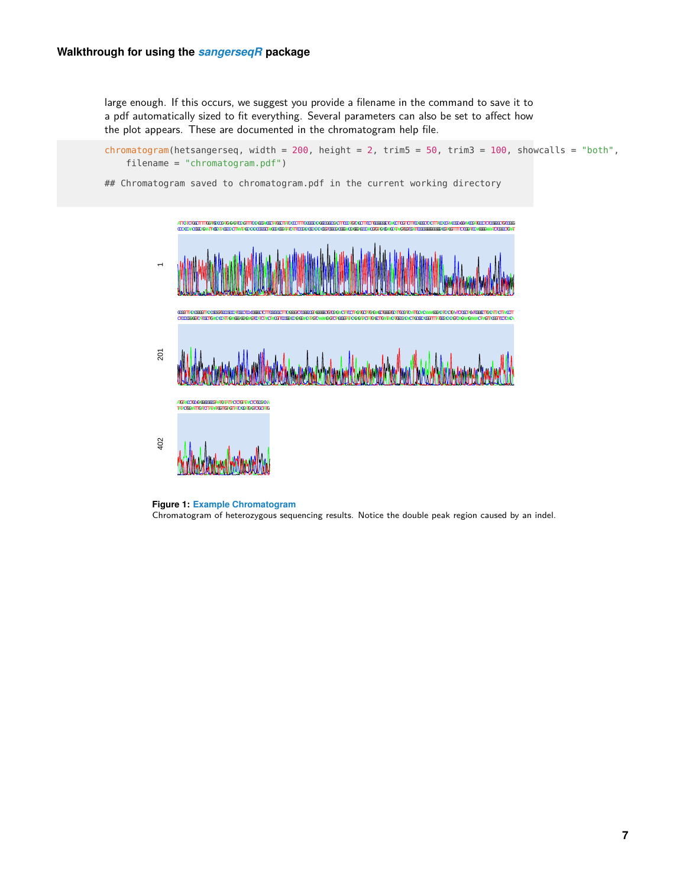#### **Walkthrough for using the** *[sangerseqR](http://bioconductor.org/packages/sangerseqR)* **package**

large enough. If this occurs, we suggest you provide a filename in the command to save it to a pdf automatically sized to fit everything. Several parameters can also be set to affect how the plot appears. These are documented in the chromatogram help file.

```
chromatogram(hetsangerseq, width = 200, height = 2, trim5 = 50, trim3 = 100, showcalls = "both",
    filename = "chromatogram.pdf")
```
## Chromatogram saved to chromatogram.pdf in the current working directory



**Figure 1: Example Chromatogram** Chromatogram of heterozygous sequencing results. Notice the double peak region caused by an indel.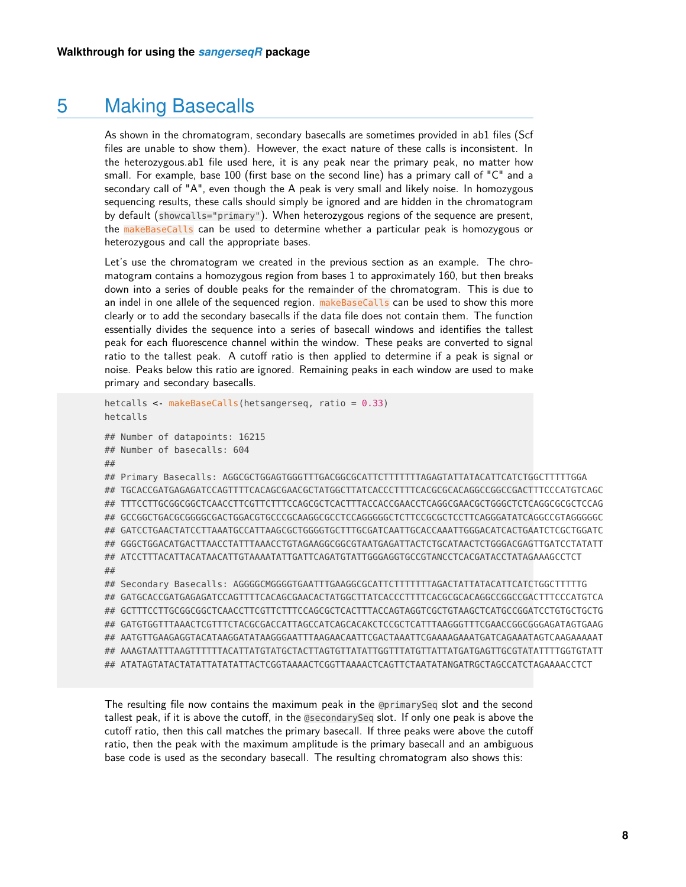### 5 Making Basecalls

<span id="page-7-0"></span>As shown in the chromatogram, secondary basecalls are sometimes provided in ab1 files (Scf files are unable to show them). However, the exact nature of these calls is inconsistent. In the heterozygous.ab1 file used here, it is any peak near the primary peak, no matter how small. For example, base 100 (first base on the second line) has a primary call of "C" and a secondary call of "A", even though the A peak is very small and likely noise. In homozygous sequencing results, these calls should simply be ignored and are hidden in the chromatogram by default (showcalls="primary"). When heterozygous regions of the sequence are present, the makeBaseCalls can be used to determine whether a particular peak is homozygous or heterozygous and call the appropriate bases.

Let's use the chromatogram we created in the previous section as an example. The chromatogram contains a homozygous region from bases 1 to approximately 160, but then breaks down into a series of double peaks for the remainder of the chromatogram. This is due to an indel in one allele of the sequenced region. makeBaseCalls can be used to show this more clearly or to add the secondary basecalls if the data file does not contain them. The function essentially divides the sequence into a series of basecall windows and identifies the tallest peak for each fluorescence channel within the window. These peaks are converted to signal ratio to the tallest peak. A cutoff ratio is then applied to determine if a peak is signal or noise. Peaks below this ratio are ignored. Remaining peaks in each window are used to make primary and secondary basecalls.

```
hetcalls <- makeBaseCalls(hetsangerseq, ratio = 0.33)
hetcalls
## Number of datapoints: 16215
## Number of basecalls: 604
##
## Primary Basecalls: AGGCGCTGGAGTGGGTTTGACGGCGCATTCTTTTTTTAGAGTATTATACATTCATCTGGCTTTTTGGA
## TGCACCGATGAGAGATCCAGTTTTCACAGCGAACGCTATGGCTTATCACCCTTTTCACGCGCACAGGCCGGCCGACTTTCCCATGTCAGC
## TTTCCTTGCGGCGGCTCAACCTTCGTTCTTTCCAGCGCTCACTTTACCACCGAACCTCAGGCGAACGCTGGGCTCTCAGGCGCGCTCCAG
## GCCGGCTGACGCGGGGCGACTGGACGTGCCCGCAAGGCGCCTCCAGGGGGCTCTTCCGCGCTCCTTCAGGGATATCAGGCCGTAGGGGGC
## GATCCTGAACTATCCTTAAATGCCATTAAGCGCTGGGGTGCTTTGCGATCAATTGCACCAAATTGGGACATCACTGAATCTCGCTGGATC
## GGGCTGGACATGACTTAACCTATTTAAACCTGTAGAAGGCGGCGTAATGAGATTACTCTGCATAACTCTGGGACGAGTTGATCCTATATT
## ATCCTTTACATTACATAACATTGTAAAATATTGATTCAGATGTATTGGGAGGTGCCGTANCCTCACGATACCTATAGAAAGCCTCT
##
## Secondary Basecalls: AGGGGCMGGGGTGAATTTGAAGGCGCATTCTTTTTTTAGACTATTATACATTCATCTGGCTTTTTG
## GATGCACCGATGAGAGATCCAGTTTTCACAGCGAACACTATGGCTTATCACCCTTTTCACGCGCACAGGCCGGCCGACTTTCCCATGTCA
## GCTTTCCTTGCGGCGGCTCAACCTTCGTTCTTTCCAGCGCTCACTTTACCAGTAGGTCGCTGTAAGCTCATGCCGGATCCTGTGCTGCTG
## GATGTGGTTTAAACTCGTTTCTACGCGACCATTAGCCATCAGCACAKCTCCGCTCATTTAAGGGTTTCGAACCGGCGGGAGATAGTGAAG
## AATGTTGAAGAGGTACATAAGGATATAAGGGAATTTAAGAACAATTCGACTAAATTCGAAAAGAAATGATCAGAAATAGTCAAGAAAAAT
## AAAGTAATTTAAGTTTTTTACATTATGTATGCTACTTAGTGTTATATTGGTTTATGTTATTATGATGAGTTGCGTATATTTTGGTGTATT
## ATATAGTATACTATATTATATATTACTCGGTAAAACTCGGTTAAAACTCAGTTCTAATATANGATRGCTAGCCATCTAGAAAACCTCT
```
The resulting file now contains the maximum peak in the @primarySeq slot and the second tallest peak, if it is above the cutoff, in the @secondarySeq slot. If only one peak is above the cutoff ratio, then this call matches the primary basecall. If three peaks were above the cutoff ratio, then the peak with the maximum amplitude is the primary basecall and an ambiguous base code is used as the secondary basecall. The resulting chromatogram also shows this: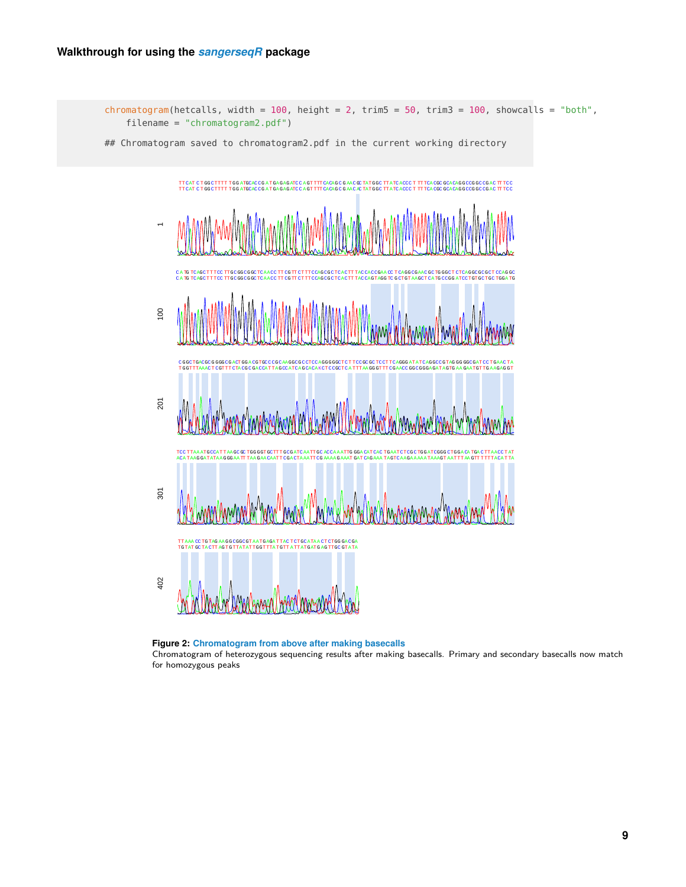

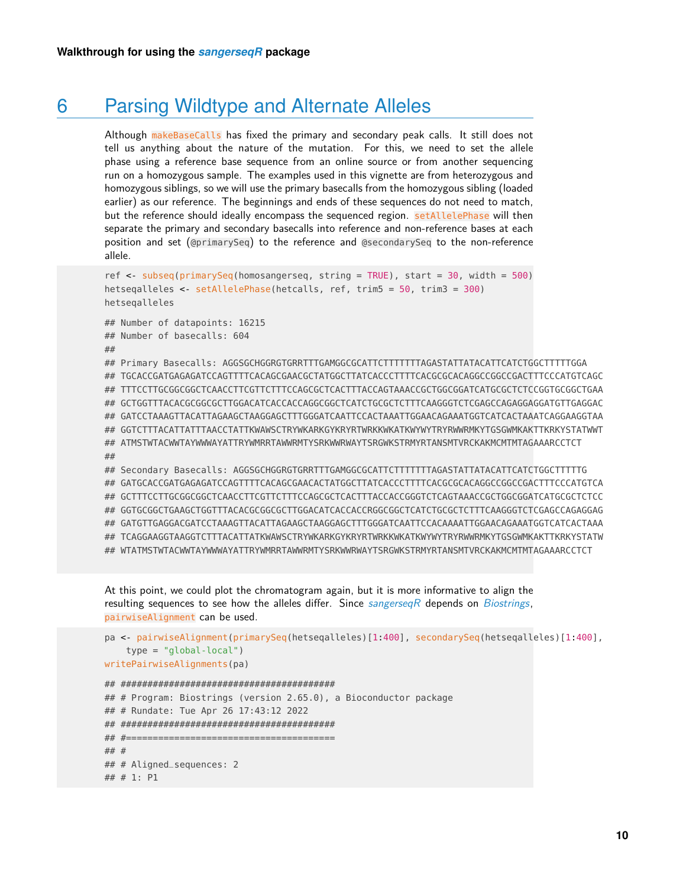### 6 Parsing Wildtype and Alternate Alleles

<span id="page-9-0"></span>Although makeBaseCalls has fixed the primary and secondary peak calls. It still does not tell us anything about the nature of the mutation. For this, we need to set the allele phase using a reference base sequence from an online source or from another sequencing run on a homozygous sample. The examples used in this vignette are from heterozygous and homozygous siblings, so we will use the primary basecalls from the homozygous sibling (loaded earlier) as our reference. The beginnings and ends of these sequences do not need to match, but the reference should ideally encompass the sequenced region. setAllelePhase will then separate the primary and secondary basecalls into reference and non-reference bases at each position and set (@primarySeq) to the reference and @secondarySeq to the non-reference allele.

```
ref <- subseq(primarySeq(homosangerseq, string = TRUE), start = 30, width = 500)
hetseqalleles <- setAllelePhase(hetcalls, ref, trim5 = 50, trim3 = 300)
hetseqalleles
## Number of datapoints: 16215
## Number of basecalls: 604
##
## Primary Basecalls: AGGSGCHGGRGTGRRTTTGAMGGCGCATTCTTTTTTTAGASTATTATACATTCATCTGGCTTTTTGGA
## TGCACCGATGAGAGATCCAGTTTTCACAGCGAACGCTATGGCTTATCACCCTTTTCACGCGCACAGGCCGGCCGACTTTCCCATGTCAGC
## TTTCCTTGCGGCGGCTCAACCTTCGTTCTTTCCAGCGCTCACTTTACCAGTAAACCGCTGGCGGATCATGCGCTCTCCGGTGCGGCTGAA
## GCTGGTTTACACGCGGCGCTTGGACATCACCACCAGGCGGCTCATCTGCGCTCTTTCAAGGGTCTCGAGCCAGAGGAGGATGTTGAGGAC
## GATCCTAAAGTTACATTAGAAGCTAAGGAGCTTTGGGATCAATTCCACTAAATTGGAACAGAAATGGTCATCACTAAATCAGGAAGGTAA
## GGTCTTTACATTATTTAACCTATTKWAWSCTRYWKARKGYKRYRTWRKKWKATKWYWYTRYRWWRMKYTGSGWMKAKTTKRKYSTATWWT
## ATMSTWTACWWTAYWWWAYATTRYWMRRTAWWRMTYSRKWWRWAYTSRGWKSTRMYRTANSMTVRCKAKMCMTMTAGAAARCCTCT
##
## Secondary Basecalls: AGGSGCHGGRGTGRRTTTGAMGGCGCATTCTTTTTTTAGASTATTATACATTCATCTGGCTTTTTG
## GATGCACCGATGAGAGATCCAGTTTTCACAGCGAACACTATGGCTTATCACCCTTTTCACGCGCACAGGCCGGCCGACTTTCCCATGTCA
## GCTTTCCTTGCGGCGGCTCAACCTTCGTTCTTTCCAGCGCTCACTTTACCACCGGGTCTCAGTAAACCGCTGGCGGATCATGCGCTCTCC
## GGTGCGGCTGAAGCTGGTTTACACGCGGCGCTTGGACATCACCACCRGGCGGCTCATCTGCGCTCTTTCAAGGGTCTCGAGCCAGAGGAG
## GATGTTGAGGACGATCCTAAAGTTACATTAGAAGCTAAGGAGCTTTGGGATCAATTCCACAAAATTGGAACAGAAATGGTCATCACTAAA
## TCAGGAAGGTAAGGTCTTTACATTATKWAWSCTRYWKARKGYKRYRTWRKKWKATKWYWYTRYRWWRMKYTGSGWMKAKTTKRKYSTATW
## WTATMSTWTACWWTAYWWWAYATTRYWMRRTAWWRMTYSRKWWRWAYTSRGWKSTRMYRTANSMTVRCKAKMCMTMTAGAAARCCTCT
```
At this point, we could plot the chromatogram again, but it is more informative to align the resulting sequences to see how the alleles differ. Since  $sangerseqR$  depends on [Biostrings](http://bioconductor.org/packages/Biostrings), pairwiseAlignment can be used.

```
pa <- pairwiseAlignment(primarySeq(hetseqalleles)[1:400], secondarySeq(hetseqalleles)[1:400],
    type = "global-local")
writePairwiseAlignments(pa)
## ########################################
## # Program: Biostrings (version 2.65.0), a Bioconductor package
## # Rundate: Tue Apr 26 17:43:12 2022
## ########################################
## #=======================================
## #
## # Aligned_sequences: 2
## # 1: P1
```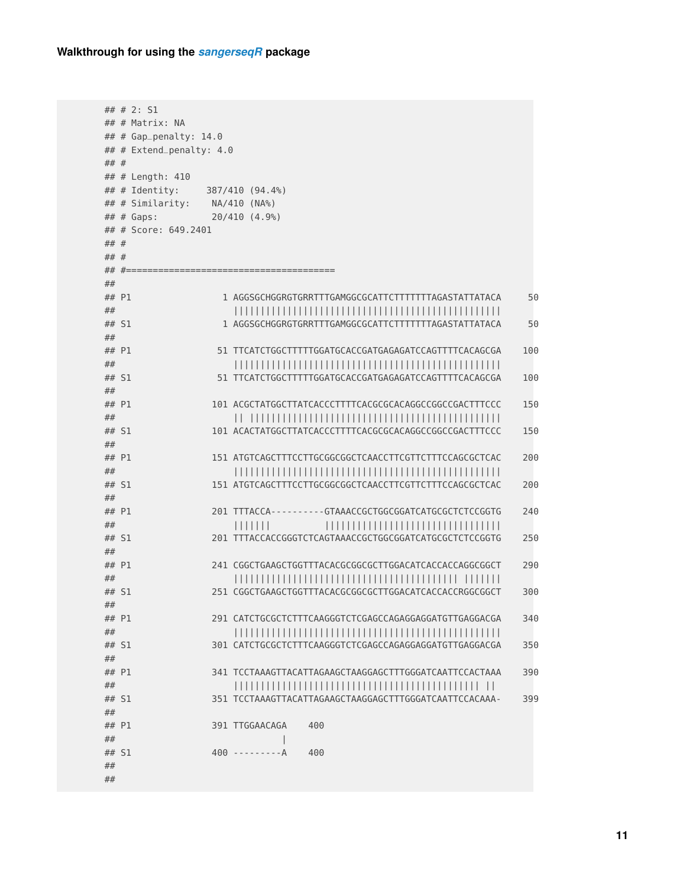```
## # 2: S1
## # Matrix: NA
## # Gap_penalty: 14.0
## # Extend_penalty: 4.0
## #
## # Length: 410
## # Identity: 387/410 (94.4%)
## # Similarity: NA/410 (NA%)
## # Gaps: 20/410 (4.9%)
## # Score: 649.2401
## #
## #
## #=======================================
##
## P1 1 AGGSGCHGGRGTGRRTTTGAMGGCGCATTCTTTTTTTAGASTATTATACA 50
## ||||||||||||||||||||||||||||||||||||||||||||||||||
## S1 1 AGGSGCHGGRGTGRRTTTGAMGGCGCATTCTTTTTTTAGASTATTATACA 50
##
## P1 51 TTCATCTGGCTTTTTGGATGCACCGATGAGAGATCCAGTTTTCACAGCGA 100
## ||||||||||||||||||||||||||||||||||||||||||||||||||
## S1 51 TTCATCTGGCTTTTTGGATGCACCGATGAGAGATCCAGTTTTCACAGCGA 100
##
## P1 101 ACGCTATGGCTTATCACCCTTTTCACGCGCACAGGCCGGCCGACTTTCCC 150
## || |||||||||||||||||||||||||||||||||||||||||||||||
## S1 101 ACACTATGGCTTATCACCCTTTTCACGCGCACAGGCCGGCCGACTTTCCC 150
##
## P1 151 ATGTCAGCTTTCCTTGCGGCGGCTCAACCTTCGTTCTTTCCAGCGCTCAC 200
## ||||||||||||||||||||||||||||||||||||||||||||||||||
## S1 151 ATGTCAGCTTTCCTTGCGGCGGCTCAACCTTCGTTCTTTCCAGCGCTCAC 200
##
## P1 201 TTTACCA----------GTAAACCGCTGGCGGATCATGCGCTCTCCGGTG 240
## ||||||| |||||||||||||||||||||||||||||||||
## S1 201 TTTACCACCGGGTCTCAGTAAACCGCTGGCGGATCATGCGCTCTCCGGTG 250
##
## P1 241 CGGCTGAAGCTGGTTTACACGCGGCGCTTGGACATCACCACCAGGCGGCT 290
## |||||||||||||||||||||||||||||||||||||||||| |||||||
## S1 251 CGGCTGAAGCTGGTTTACACGCGGCGCTTGGACATCACCACCRGGCGGCT 300
##
## P1 291 CATCTGCGCTCTTTCAAGGGTCTCGAGCCAGAGGAGGATGTTGAGGACGA 340
## ||||||||||||||||||||||||||||||||||||||||||||||||||
## S1 301 CATCTGCGCTCTTTCAAGGGTCTCGAGCCAGAGGAGGATGTTGAGGACGA 350
##
## P1 341 TCCTAAAGTTACATTAGAAGCTAAGGAGCTTTGGGATCAATTCCACTAAA 390
## |||||||||||||||||||||||||||||||||||||||||||||| ||
## S1 351 TCCTAAAGTTACATTAGAAGCTAAGGAGCTTTGGGATCAATTCCACAAA- 399
##
## P1 391 TTGGAACAGA 400
## \left| \right|## S1 400 ---------A 400
##
##
```